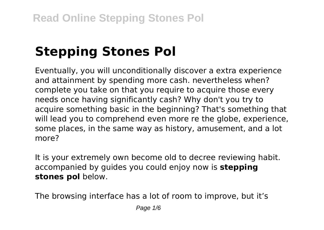# **Stepping Stones Pol**

Eventually, you will unconditionally discover a extra experience and attainment by spending more cash. nevertheless when? complete you take on that you require to acquire those every needs once having significantly cash? Why don't you try to acquire something basic in the beginning? That's something that will lead you to comprehend even more re the globe, experience, some places, in the same way as history, amusement, and a lot more?

It is your extremely own become old to decree reviewing habit. accompanied by guides you could enjoy now is **stepping stones pol** below.

The browsing interface has a lot of room to improve, but it's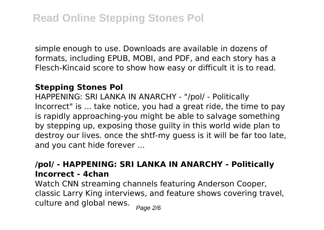simple enough to use. Downloads are available in dozens of formats, including EPUB, MOBI, and PDF, and each story has a Flesch-Kincaid score to show how easy or difficult it is to read.

#### **Stepping Stones Pol**

HAPPENING: SRI LANKA IN ANARCHY - "/pol/ - Politically Incorrect" is ... take notice, you had a great ride, the time to pay is rapidly approaching-you might be able to salvage something by stepping up, exposing those guilty in this world wide plan to destroy our lives. once the shtf-my guess is it will be far too late, and you cant hide forever ...

#### **/pol/ - HAPPENING: SRI LANKA IN ANARCHY - Politically Incorrect - 4chan**

Watch CNN streaming channels featuring Anderson Cooper, classic Larry King interviews, and feature shows covering travel, culture and global news.  $_{Page\ 2/6}$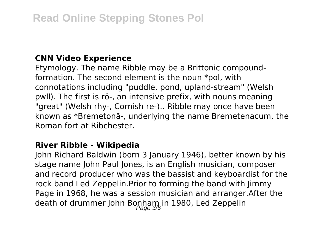#### **CNN Video Experience**

Etymology. The name Ribble may be a Brittonic compoundformation. The second element is the noun \*pol, with connotations including "puddle, pond, upland-stream" (Welsh pwll). The first is rö-, an intensive prefix, with nouns meaning "great" (Welsh rhy-, Cornish re-).. Ribble may once have been known as \*Bremetonā-, underlying the name Bremetenacum, the Roman fort at Ribchester.

#### **River Ribble - Wikipedia**

John Richard Baldwin (born 3 January 1946), better known by his stage name John Paul Jones, is an English musician, composer and record producer who was the bassist and keyboardist for the rock band Led Zeppelin.Prior to forming the band with Jimmy Page in 1968, he was a session musician and arranger.After the death of drummer John Bonham in 1980, Led Zeppelin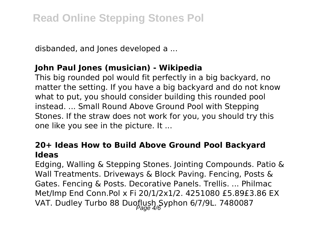disbanded, and Jones developed a ...

### **John Paul Jones (musician) - Wikipedia**

This big rounded pol would fit perfectly in a big backyard, no matter the setting. If you have a big backyard and do not know what to put, you should consider building this rounded pool instead. ... Small Round Above Ground Pool with Stepping Stones. If the straw does not work for you, you should try this one like you see in the picture. It ...

#### **20+ Ideas How to Build Above Ground Pool Backyard Ideas**

Edging, Walling & Stepping Stones. Jointing Compounds. Patio & Wall Treatments. Driveways & Block Paving. Fencing, Posts & Gates. Fencing & Posts. Decorative Panels. Trellis. ... Philmac Met/Imp End Conn.Pol x Fi 20/1/2x1/2. 4251080 £5.89£3.86 EX VAT. Dudley Turbo 88 Duoflush Syphon 6/7/9L. 7480087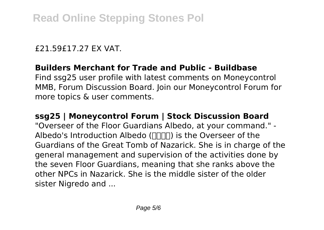#### £21.59£17.27 EX VAT.

## **Builders Merchant for Trade and Public - Buildbase**

Find ssg25 user profile with latest comments on Moneycontrol MMB, Forum Discussion Board. Join our Moneycontrol Forum for more topics & user comments.

#### **ssg25 | Moneycontrol Forum | Stock Discussion Board**

"Overseer of the Floor Guardians Albedo, at your command." - Albedo's Introduction Albedo ( $\Box$   $\Box$ ) is the Overseer of the Guardians of the Great Tomb of Nazarick. She is in charge of the general management and supervision of the activities done by the seven Floor Guardians, meaning that she ranks above the other NPCs in Nazarick. She is the middle sister of the older sister Nigredo and ...